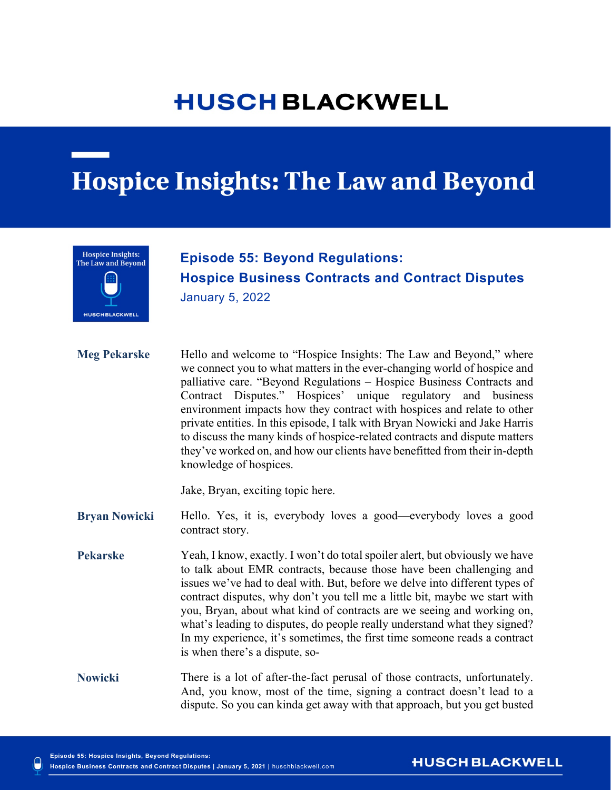# **HUSCH BLACKWELL**

# **Hospice Insights: The Law and Beyond**



## January 5, 2021 **Episode 55: Beyond Regulations: Hospice Business Contracts and Contract Disputes** January 5, 2022

**Hospice Business Contracts and Contract Disputes** 

**Meg Pekarske** Hello and welcome to "Hospice Insights: The Law and Beyond," where we connect you to what matters in the ever-changing world of hospice and palliative care. "Beyond Regulations – Hospice Business Contracts and Contract Disputes." Hospices' unique regulatory and business environment impacts how they contract with hospices and relate to other private entities. In this episode, I talk with Bryan Nowicki and Jake Harris to discuss the many kinds of hospice-related contracts and dispute matters they've worked on, and how our clients have benefitted from their in-depth knowledge of hospices.

Jake, Bryan, exciting topic here.

**Bryan Nowicki** Hello. Yes, it is, everybody loves a good—everybody loves a good contract story.

**Pekarske** Yeah, I know, exactly. I won't do total spoiler alert, but obviously we have to talk about EMR contracts, because those have been challenging and issues we've had to deal with. But, before we delve into different types of contract disputes, why don't you tell me a little bit, maybe we start with you, Bryan, about what kind of contracts are we seeing and working on, what's leading to disputes, do people really understand what they signed? In my experience, it's sometimes, the first time someone reads a contract is when there's a dispute, so-

**Nowicki** There is a lot of after-the-fact perusal of those contracts, unfortunately. And, you know, most of the time, signing a contract doesn't lead to a dispute. So you can kinda get away with that approach, but you get busted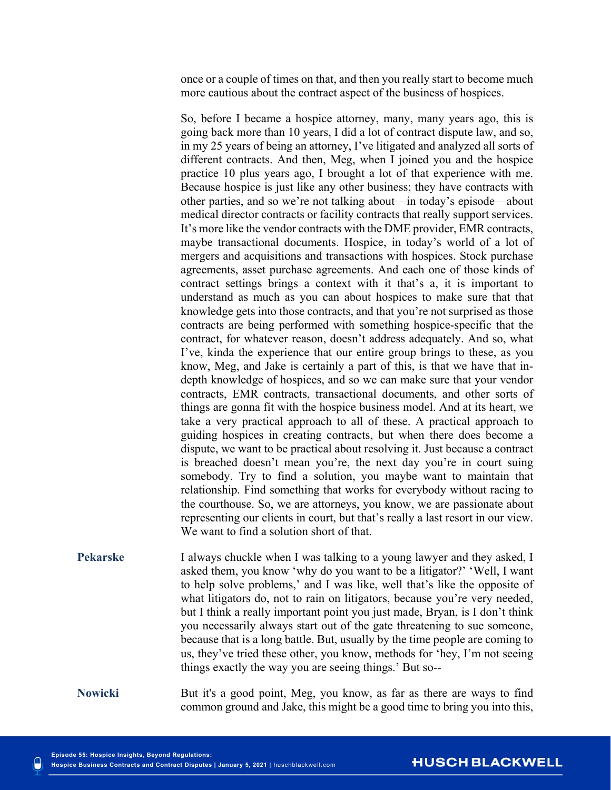once or a couple of times on that, and then you really start to become much more cautious about the contract aspect of the business of hospices.

So, before I became a hospice attorney, many, many years ago, this is going back more than 10 years, I did a lot of contract dispute law, and so, in my 25 years of being an attorney, I've litigated and analyzed all sorts of different contracts. And then, Meg, when I joined you and the hospice practice 10 plus years ago, I brought a lot of that experience with me. Because hospice is just like any other business; they have contracts with other parties, and so we're not talking about—in today's episode—about medical director contracts or facility contracts that really support services. It's more like the vendor contracts with the DME provider, EMR contracts, maybe transactional documents. Hospice, in today's world of a lot of mergers and acquisitions and transactions with hospices. Stock purchase agreements, asset purchase agreements. And each one of those kinds of contract settings brings a context with it that's a, it is important to understand as much as you can about hospices to make sure that that knowledge gets into those contracts, and that you're not surprised as those contracts are being performed with something hospice-specific that the contract, for whatever reason, doesn't address adequately. And so, what I've, kinda the experience that our entire group brings to these, as you know, Meg, and Jake is certainly a part of this, is that we have that indepth knowledge of hospices, and so we can make sure that your vendor contracts, EMR contracts, transactional documents, and other sorts of things are gonna fit with the hospice business model. And at its heart, we take a very practical approach to all of these. A practical approach to guiding hospices in creating contracts, but when there does become a dispute, we want to be practical about resolving it. Just because a contract is breached doesn't mean you're, the next day you're in court suing somebody. Try to find a solution, you maybe want to maintain that relationship. Find something that works for everybody without racing to the courthouse. So, we are attorneys, you know, we are passionate about representing our clients in court, but that's really a last resort in our view. We want to find a solution short of that.

**Pekarske** I always chuckle when I was talking to a young lawyer and they asked, I asked them, you know 'why do you want to be a litigator?' 'Well, I want to help solve problems,' and I was like, well that's like the opposite of what litigators do, not to rain on litigators, because you're very needed, but I think a really important point you just made, Bryan, is I don't think you necessarily always start out of the gate threatening to sue someone, because that is a long battle. But, usually by the time people are coming to us, they've tried these other, you know, methods for 'hey, I'm not seeing things exactly the way you are seeing things.' But so--

**Nowicki** But it's a good point, Meg, you know, as far as there are ways to find common ground and Jake, this might be a good time to bring you into this,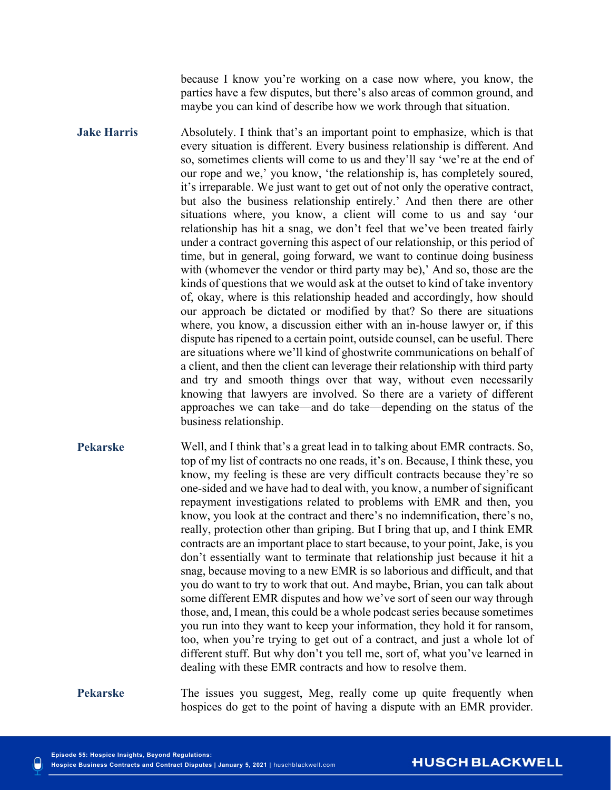because I know you're working on a case now where, you know, the parties have a few disputes, but there's also areas of common ground, and maybe you can kind of describe how we work through that situation.

**Jake Harris** Absolutely. I think that's an important point to emphasize, which is that every situation is different. Every business relationship is different. And so, sometimes clients will come to us and they'll say 'we're at the end of our rope and we,' you know, 'the relationship is, has completely soured, it's irreparable. We just want to get out of not only the operative contract, but also the business relationship entirely.' And then there are other situations where, you know, a client will come to us and say 'our relationship has hit a snag, we don't feel that we've been treated fairly under a contract governing this aspect of our relationship, or this period of time, but in general, going forward, we want to continue doing business with (whomever the vendor or third party may be),' And so, those are the kinds of questions that we would ask at the outset to kind of take inventory of, okay, where is this relationship headed and accordingly, how should our approach be dictated or modified by that? So there are situations where, you know, a discussion either with an in-house lawyer or, if this dispute has ripened to a certain point, outside counsel, can be useful. There are situations where we'll kind of ghostwrite communications on behalf of a client, and then the client can leverage their relationship with third party and try and smooth things over that way, without even necessarily knowing that lawyers are involved. So there are a variety of different approaches we can take—and do take—depending on the status of the business relationship.

**Pekarske** Well, and I think that's a great lead in to talking about EMR contracts. So, top of my list of contracts no one reads, it's on. Because, I think these, you know, my feeling is these are very difficult contracts because they're so one-sided and we have had to deal with, you know, a number of significant repayment investigations related to problems with EMR and then, you know, you look at the contract and there's no indemnification, there's no, really, protection other than griping. But I bring that up, and I think EMR contracts are an important place to start because, to your point, Jake, is you don't essentially want to terminate that relationship just because it hit a snag, because moving to a new EMR is so laborious and difficult, and that you do want to try to work that out. And maybe, Brian, you can talk about some different EMR disputes and how we've sort of seen our way through those, and, I mean, this could be a whole podcast series because sometimes you run into they want to keep your information, they hold it for ransom, too, when you're trying to get out of a contract, and just a whole lot of different stuff. But why don't you tell me, sort of, what you've learned in dealing with these EMR contracts and how to resolve them.

**Pekarske** The issues you suggest, Meg, really come up quite frequently when hospices do get to the point of having a dispute with an EMR provider.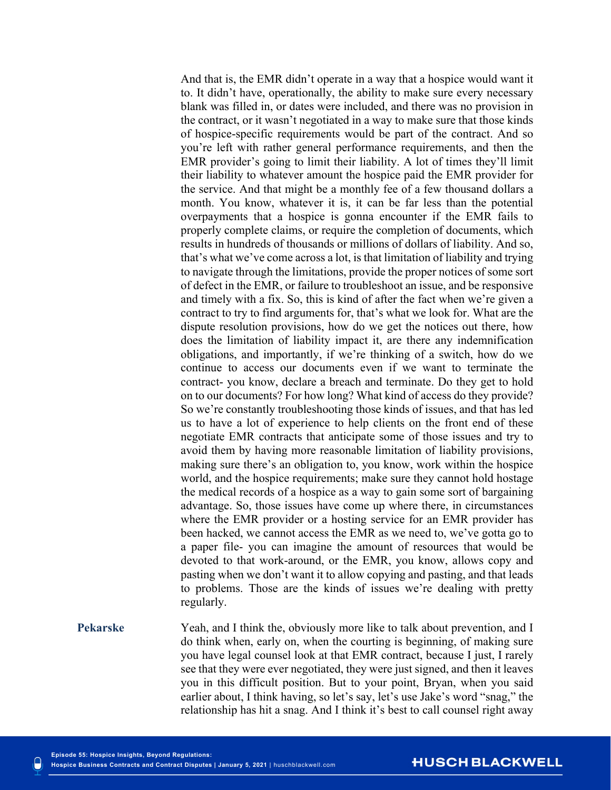And that is, the EMR didn't operate in a way that a hospice would want it to. It didn't have, operationally, the ability to make sure every necessary blank was filled in, or dates were included, and there was no provision in the contract, or it wasn't negotiated in a way to make sure that those kinds of hospice-specific requirements would be part of the contract. And so you're left with rather general performance requirements, and then the EMR provider's going to limit their liability. A lot of times they'll limit their liability to whatever amount the hospice paid the EMR provider for the service. And that might be a monthly fee of a few thousand dollars a month. You know, whatever it is, it can be far less than the potential overpayments that a hospice is gonna encounter if the EMR fails to properly complete claims, or require the completion of documents, which results in hundreds of thousands or millions of dollars of liability. And so, that's what we've come across a lot, is that limitation of liability and trying to navigate through the limitations, provide the proper notices of some sort of defect in the EMR, or failure to troubleshoot an issue, and be responsive and timely with a fix. So, this is kind of after the fact when we're given a contract to try to find arguments for, that's what we look for. What are the dispute resolution provisions, how do we get the notices out there, how does the limitation of liability impact it, are there any indemnification obligations, and importantly, if we're thinking of a switch, how do we continue to access our documents even if we want to terminate the contract- you know, declare a breach and terminate. Do they get to hold on to our documents? For how long? What kind of access do they provide? So we're constantly troubleshooting those kinds of issues, and that has led us to have a lot of experience to help clients on the front end of these negotiate EMR contracts that anticipate some of those issues and try to avoid them by having more reasonable limitation of liability provisions, making sure there's an obligation to, you know, work within the hospice world, and the hospice requirements; make sure they cannot hold hostage the medical records of a hospice as a way to gain some sort of bargaining advantage. So, those issues have come up where there, in circumstances where the EMR provider or a hosting service for an EMR provider has been hacked, we cannot access the EMR as we need to, we've gotta go to a paper file- you can imagine the amount of resources that would be devoted to that work-around, or the EMR, you know, allows copy and pasting when we don't want it to allow copying and pasting, and that leads to problems. Those are the kinds of issues we're dealing with pretty regularly.

**Pekarske** Yeah, and I think the, obviously more like to talk about prevention, and I do think when, early on, when the courting is beginning, of making sure you have legal counsel look at that EMR contract, because I just, I rarely see that they were ever negotiated, they were just signed, and then it leaves you in this difficult position. But to your point, Bryan, when you said earlier about, I think having, so let's say, let's use Jake's word "snag," the relationship has hit a snag. And I think it's best to call counsel right away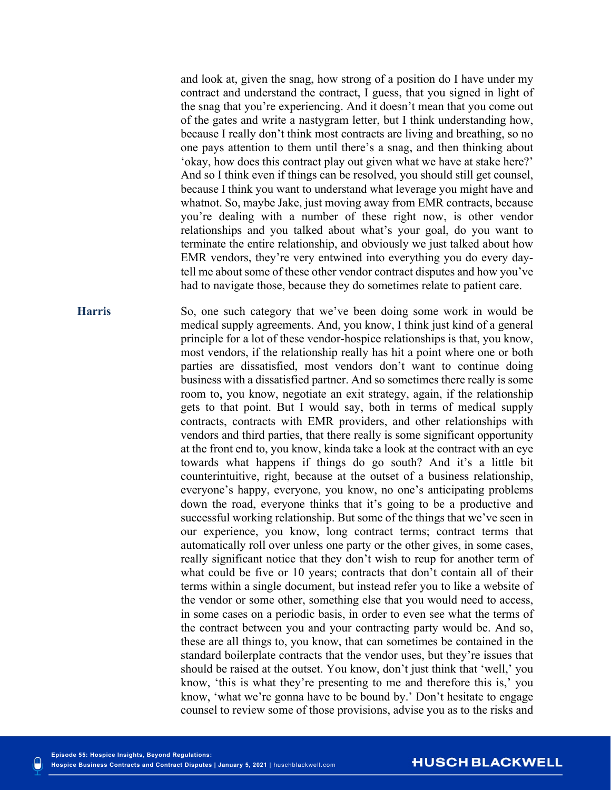and look at, given the snag, how strong of a position do I have under my contract and understand the contract, I guess, that you signed in light of the snag that you're experiencing. And it doesn't mean that you come out of the gates and write a nastygram letter, but I think understanding how, because I really don't think most contracts are living and breathing, so no one pays attention to them until there's a snag, and then thinking about 'okay, how does this contract play out given what we have at stake here?' And so I think even if things can be resolved, you should still get counsel, because I think you want to understand what leverage you might have and whatnot. So, maybe Jake, just moving away from EMR contracts, because you're dealing with a number of these right now, is other vendor relationships and you talked about what's your goal, do you want to terminate the entire relationship, and obviously we just talked about how EMR vendors, they're very entwined into everything you do every daytell me about some of these other vendor contract disputes and how you've had to navigate those, because they do sometimes relate to patient care.

**Harris** So, one such category that we've been doing some work in would be medical supply agreements. And, you know, I think just kind of a general principle for a lot of these vendor-hospice relationships is that, you know, most vendors, if the relationship really has hit a point where one or both parties are dissatisfied, most vendors don't want to continue doing business with a dissatisfied partner. And so sometimes there really is some room to, you know, negotiate an exit strategy, again, if the relationship gets to that point. But I would say, both in terms of medical supply contracts, contracts with EMR providers, and other relationships with vendors and third parties, that there really is some significant opportunity at the front end to, you know, kinda take a look at the contract with an eye towards what happens if things do go south? And it's a little bit counterintuitive, right, because at the outset of a business relationship, everyone's happy, everyone, you know, no one's anticipating problems down the road, everyone thinks that it's going to be a productive and successful working relationship. But some of the things that we've seen in our experience, you know, long contract terms; contract terms that automatically roll over unless one party or the other gives, in some cases, really significant notice that they don't wish to reup for another term of what could be five or 10 years; contracts that don't contain all of their terms within a single document, but instead refer you to like a website of the vendor or some other, something else that you would need to access, in some cases on a periodic basis, in order to even see what the terms of the contract between you and your contracting party would be. And so, these are all things to, you know, that can sometimes be contained in the standard boilerplate contracts that the vendor uses, but they're issues that should be raised at the outset. You know, don't just think that 'well,' you know, 'this is what they're presenting to me and therefore this is,' you know, 'what we're gonna have to be bound by.' Don't hesitate to engage counsel to review some of those provisions, advise you as to the risks and

#### **HUSCH BLACKWELL**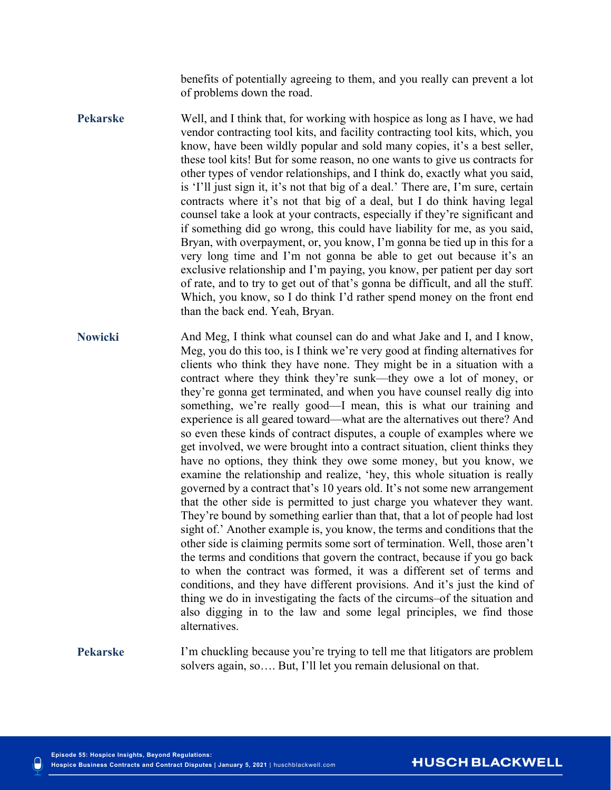benefits of potentially agreeing to them, and you really can prevent a lot of problems down the road.

- **Pekarske** Well, and I think that, for working with hospice as long as I have, we had vendor contracting tool kits, and facility contracting tool kits, which, you know, have been wildly popular and sold many copies, it's a best seller, these tool kits! But for some reason, no one wants to give us contracts for other types of vendor relationships, and I think do, exactly what you said, is 'I'll just sign it, it's not that big of a deal.' There are, I'm sure, certain contracts where it's not that big of a deal, but I do think having legal counsel take a look at your contracts, especially if they're significant and if something did go wrong, this could have liability for me, as you said, Bryan, with overpayment, or, you know, I'm gonna be tied up in this for a very long time and I'm not gonna be able to get out because it's an exclusive relationship and I'm paying, you know, per patient per day sort of rate, and to try to get out of that's gonna be difficult, and all the stuff. Which, you know, so I do think I'd rather spend money on the front end than the back end. Yeah, Bryan.
- **Nowicki** And Meg, I think what counsel can do and what Jake and I, and I know, Meg, you do this too, is I think we're very good at finding alternatives for clients who think they have none. They might be in a situation with a contract where they think they're sunk—they owe a lot of money, or they're gonna get terminated, and when you have counsel really dig into something, we're really good—I mean, this is what our training and experience is all geared toward—what are the alternatives out there? And so even these kinds of contract disputes, a couple of examples where we get involved, we were brought into a contract situation, client thinks they have no options, they think they owe some money, but you know, we examine the relationship and realize, 'hey, this whole situation is really governed by a contract that's 10 years old. It's not some new arrangement that the other side is permitted to just charge you whatever they want. They're bound by something earlier than that, that a lot of people had lost sight of.' Another example is, you know, the terms and conditions that the other side is claiming permits some sort of termination. Well, those aren't the terms and conditions that govern the contract, because if you go back to when the contract was formed, it was a different set of terms and conditions, and they have different provisions. And it's just the kind of thing we do in investigating the facts of the circums–of the situation and also digging in to the law and some legal principles, we find those alternatives.

**Pekarske** I'm chuckling because you're trying to tell me that litigators are problem solvers again, so…. But, I'll let you remain delusional on that.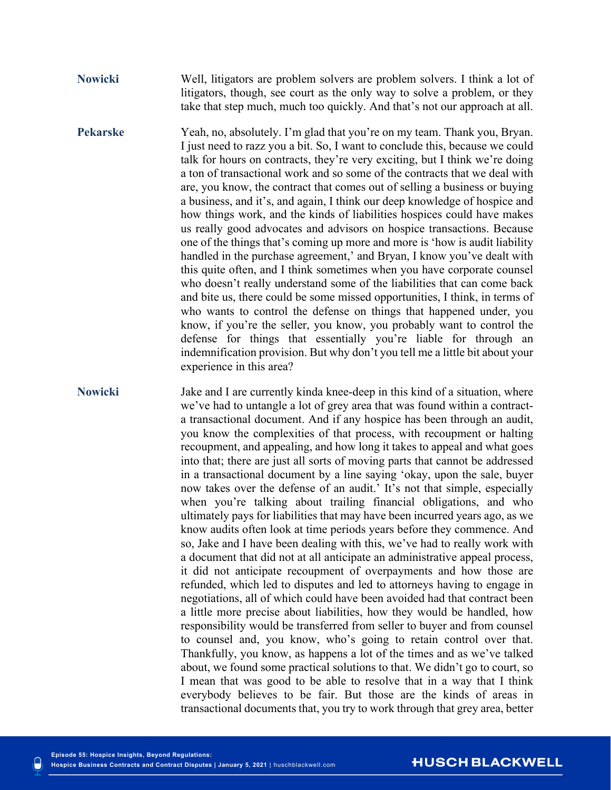**Nowicki** Well, litigators are problem solvers are problem solvers. I think a lot of litigators, though, see court as the only way to solve a problem, or they take that step much, much too quickly. And that's not our approach at all.

**Pekarske** Yeah, no, absolutely. I'm glad that you're on my team. Thank you, Bryan. I just need to razz you a bit. So, I want to conclude this, because we could talk for hours on contracts, they're very exciting, but I think we're doing a ton of transactional work and so some of the contracts that we deal with are, you know, the contract that comes out of selling a business or buying a business, and it's, and again, I think our deep knowledge of hospice and how things work, and the kinds of liabilities hospices could have makes us really good advocates and advisors on hospice transactions. Because one of the things that's coming up more and more is 'how is audit liability handled in the purchase agreement,' and Bryan, I know you've dealt with this quite often, and I think sometimes when you have corporate counsel who doesn't really understand some of the liabilities that can come back and bite us, there could be some missed opportunities, I think, in terms of who wants to control the defense on things that happened under, you know, if you're the seller, you know, you probably want to control the defense for things that essentially you're liable for through an indemnification provision. But why don't you tell me a little bit about your experience in this area?

**Nowicki** Jake and I are currently kinda knee-deep in this kind of a situation, where we've had to untangle a lot of grey area that was found within a contracta transactional document. And if any hospice has been through an audit, you know the complexities of that process, with recoupment or halting recoupment, and appealing, and how long it takes to appeal and what goes into that; there are just all sorts of moving parts that cannot be addressed in a transactional document by a line saying 'okay, upon the sale, buyer now takes over the defense of an audit.' It's not that simple, especially when you're talking about trailing financial obligations, and who ultimately pays for liabilities that may have been incurred years ago, as we know audits often look at time periods years before they commence. And so, Jake and I have been dealing with this, we've had to really work with a document that did not at all anticipate an administrative appeal process, it did not anticipate recoupment of overpayments and how those are refunded, which led to disputes and led to attorneys having to engage in negotiations, all of which could have been avoided had that contract been a little more precise about liabilities, how they would be handled, how responsibility would be transferred from seller to buyer and from counsel to counsel and, you know, who's going to retain control over that. Thankfully, you know, as happens a lot of the times and as we've talked about, we found some practical solutions to that. We didn't go to court, so I mean that was good to be able to resolve that in a way that I think everybody believes to be fair. But those are the kinds of areas in transactional documents that, you try to work through that grey area, better

#### **HUSCH BLACKWELL**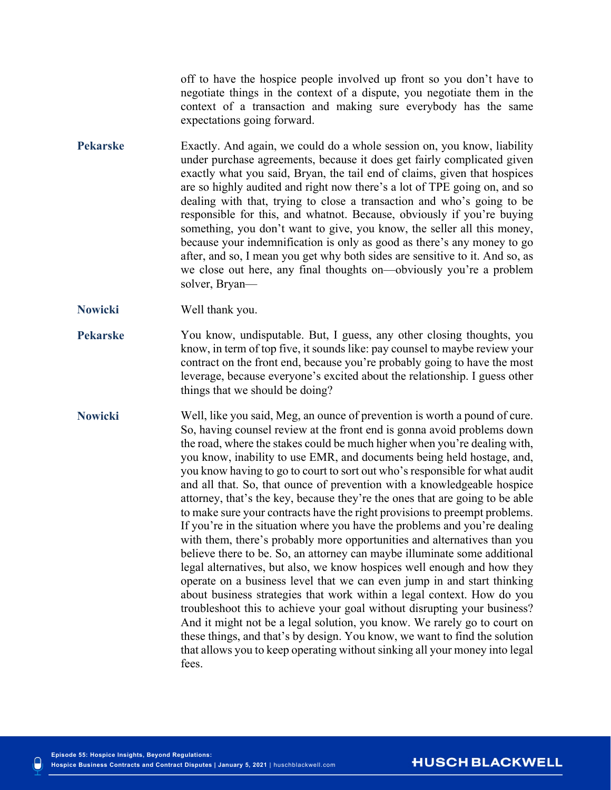off to have the hospice people involved up front so you don't have to negotiate things in the context of a dispute, you negotiate them in the context of a transaction and making sure everybody has the same expectations going forward.

- **Pekarske** Exactly. And again, we could do a whole session on, you know, liability under purchase agreements, because it does get fairly complicated given exactly what you said, Bryan, the tail end of claims, given that hospices are so highly audited and right now there's a lot of TPE going on, and so dealing with that, trying to close a transaction and who's going to be responsible for this, and whatnot. Because, obviously if you're buying something, you don't want to give, you know, the seller all this money, because your indemnification is only as good as there's any money to go after, and so, I mean you get why both sides are sensitive to it. And so, as we close out here, any final thoughts on—obviously you're a problem solver, Bryan—
- **Nowicki** Well thank you.
- **Pekarske** You know, undisputable. But, I guess, any other closing thoughts, you know, in term of top five, it sounds like: pay counsel to maybe review your contract on the front end, because you're probably going to have the most leverage, because everyone's excited about the relationship. I guess other things that we should be doing?
- **Nowicki** Well, like you said, Meg, an ounce of prevention is worth a pound of cure. So, having counsel review at the front end is gonna avoid problems down the road, where the stakes could be much higher when you're dealing with, you know, inability to use EMR, and documents being held hostage, and, you know having to go to court to sort out who's responsible for what audit and all that. So, that ounce of prevention with a knowledgeable hospice attorney, that's the key, because they're the ones that are going to be able to make sure your contracts have the right provisions to preempt problems. If you're in the situation where you have the problems and you're dealing with them, there's probably more opportunities and alternatives than you believe there to be. So, an attorney can maybe illuminate some additional legal alternatives, but also, we know hospices well enough and how they operate on a business level that we can even jump in and start thinking about business strategies that work within a legal context. How do you troubleshoot this to achieve your goal without disrupting your business? And it might not be a legal solution, you know. We rarely go to court on these things, and that's by design. You know, we want to find the solution that allows you to keep operating without sinking all your money into legal fees.